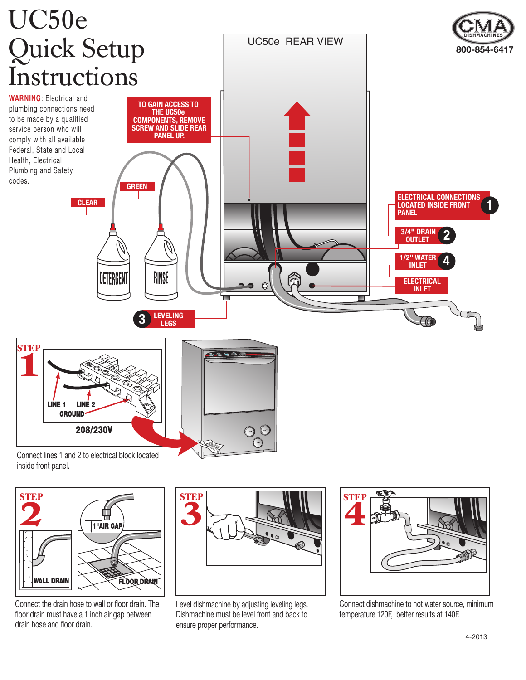

Connect lines 1 and 2 to electrical block located inside front panel.



Connect the drain hose to wall or floor drain. The floor drain must have a 1 inch air gap between drain hose and floor drain.



Level dishmachine by adjusting leveling legs. Dishmachine must be level front and back to ensure proper performance.



Connect dishmachine to hot water source, minimum temperature 120F, better results at 140F.